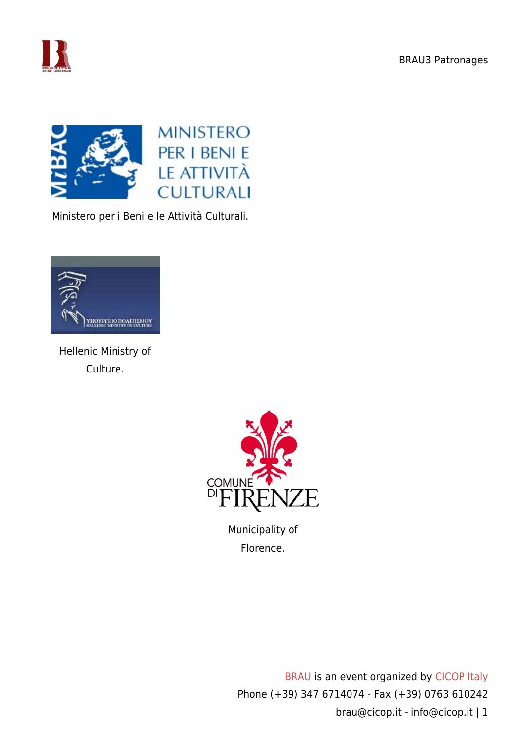BRAU3 Patronages





Ministero per i Beni e le Attività Culturali.



Hellenic Ministry of Culture.



Municipality of Florence.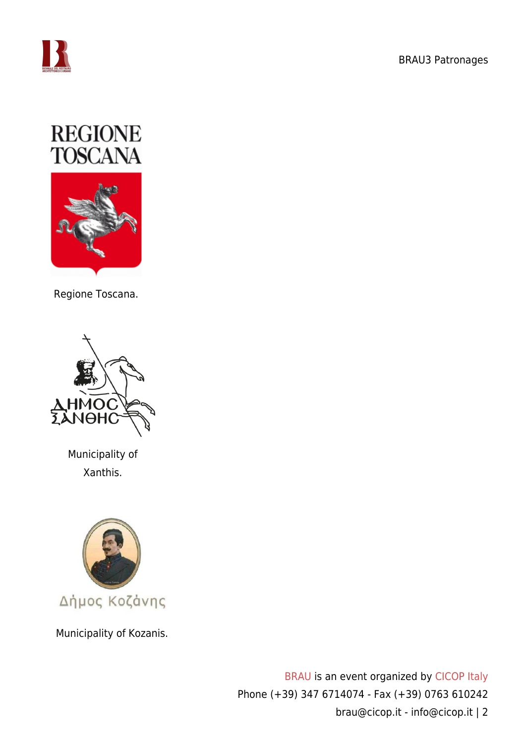

## **REGIONE TOSCANA**



Regione Toscana.



Municipality of Xanthis.



Municipality of Kozanis.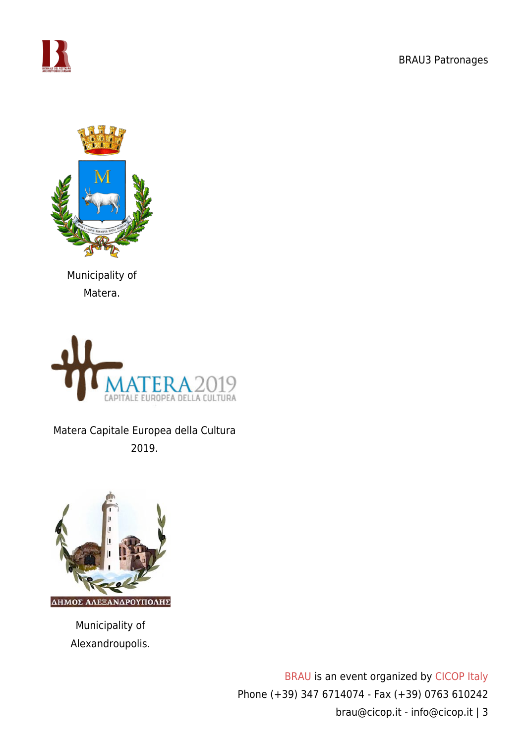



Municipality of Matera.



Matera Capitale Europea della Cultura

2019.



Municipality of Alexandroupolis.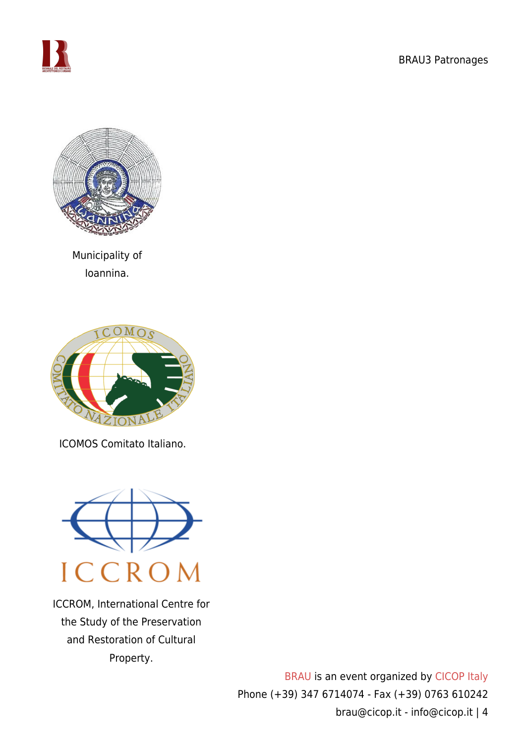



Municipality of Ioannina.



ICOMOS Comitato Italiano.



ICCROM, International Centre for the Study of the Preservation and Restoration of Cultural Property.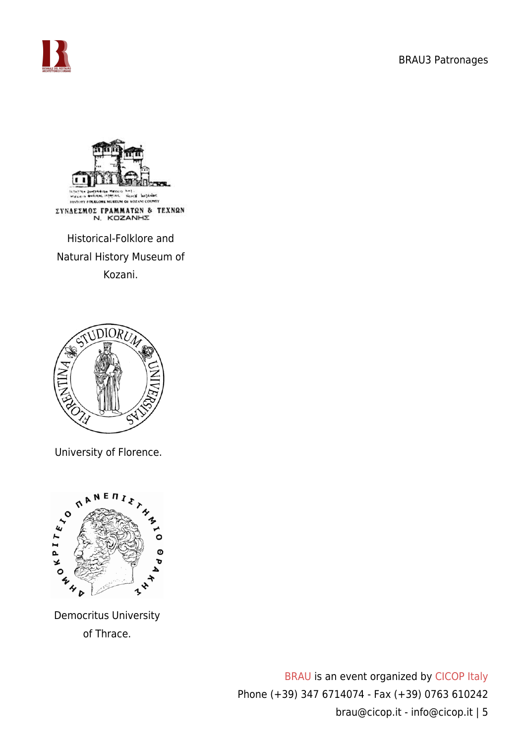



Natural History Museum of Kozani.



University of Florence.



Democritus University of Thrace.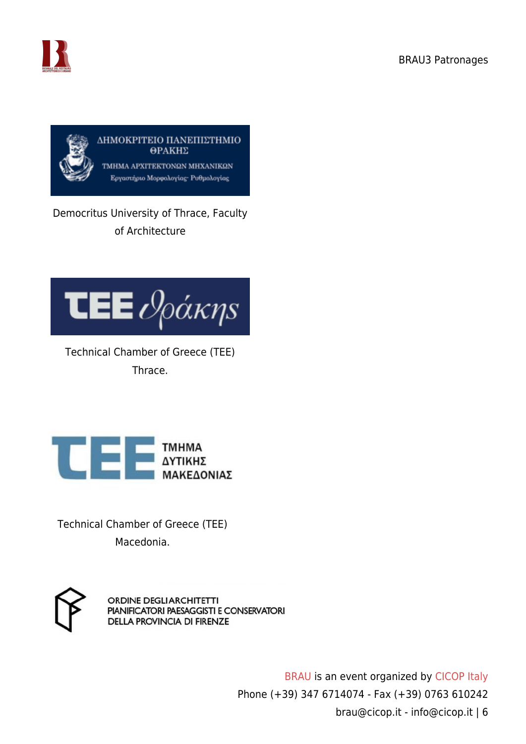



## Democritus University of Thrace, Faculty of Architecture



Technical Chamber of Greece (TEE) Thrace.



Technical Chamber of Greece (TEE) Macedonia.



ORDINE DEGLI ARCHITETTI PIANIFICATORI PAESAGGISTI E CONSERVATORI DELLA PROVINCIA DI FIRENZE